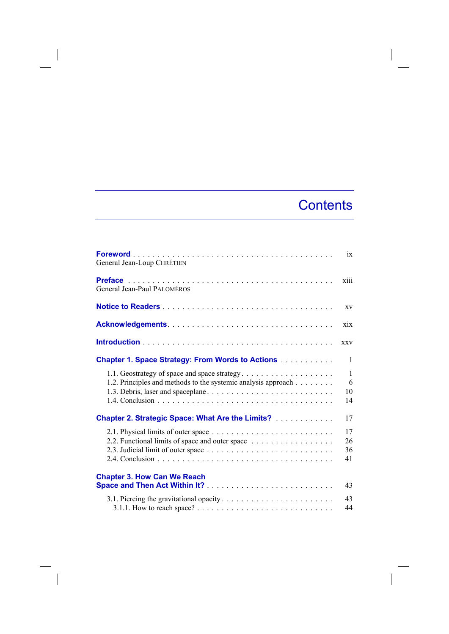## **Contents**

 $\overline{\phantom{a}}$ 

| General Jean-Loup CHRÉTIEN                                                                                    | ix                            |
|---------------------------------------------------------------------------------------------------------------|-------------------------------|
| General Jean-Paul PALOMÉROS                                                                                   | xiii                          |
|                                                                                                               | XV                            |
|                                                                                                               | xix                           |
|                                                                                                               | <b>XXV</b>                    |
| <b>Chapter 1. Space Strategy: From Words to Actions </b>                                                      | 1                             |
| 1.1. Geostrategy of space and space strategy<br>1.2. Principles and methods to the systemic analysis approach | $\mathbf{1}$<br>6<br>10<br>14 |
| <b>Chapter 2. Strategic Space: What Are the Limits?</b>                                                       | 17                            |
| 2.2. Functional limits of space and outer space                                                               | 17<br>26<br>36<br>41          |
| <b>Chapter 3. How Can We Reach</b>                                                                            | 43                            |
|                                                                                                               | 43<br>44                      |

 $\overline{\phantom{a}}$ 

 $\overline{\phantom{a}}$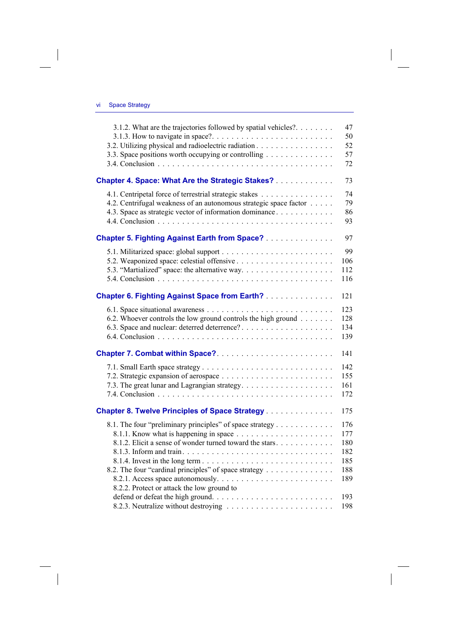$\overline{\phantom{a}}$ 

 $\begin{array}{c} \hline \end{array}$ 

| 3.1.2. What are the trajectories followed by spatial vehicles?.   | 47<br>50 |
|-------------------------------------------------------------------|----------|
| 3.2. Utilizing physical and radioelectric radiation               | 52       |
| 3.3. Space positions worth occupying or controlling               | 57       |
|                                                                   | 72       |
| <b>Chapter 4. Space: What Are the Strategic Stakes?</b>           | 73       |
| 4.1. Centripetal force of terrestrial strategic stakes            | 74       |
| 4.2. Centrifugal weakness of an autonomous strategic space factor | 79       |
| 4.3. Space as strategic vector of information dominance           | 86       |
|                                                                   | 93       |
| <b>Chapter 5. Fighting Against Earth from Space?</b>              | 97       |
|                                                                   | 99       |
|                                                                   | 106      |
|                                                                   | 112      |
|                                                                   | 116      |
| <b>Chapter 6. Fighting Against Space from Earth?</b>              | 121      |
|                                                                   | 123      |
| 6.2. Whoever controls the low ground controls the high ground     | 128      |
| 6.3. Space and nuclear: deterred deterrence?                      | 134      |
|                                                                   | 139      |
|                                                                   | 141      |
|                                                                   | 142      |
|                                                                   | 155      |
|                                                                   | 161      |
|                                                                   | 172      |
| <b>Chapter 8. Twelve Principles of Space Strategy </b>            | 175      |
|                                                                   |          |
| 8.1. The four "preliminary principles" of space strategy          | 176      |
|                                                                   | 177      |
| 8.1.2. Elicit a sense of wonder turned toward the stars.          | 180      |
|                                                                   | 182      |
|                                                                   | 185      |
| 8.2. The four "cardinal principles" of space strategy             | 188      |
|                                                                   | 189      |
| 8.2.2. Protect or attack the low ground to                        |          |
|                                                                   | 193      |
|                                                                   | 198      |

 $\overline{\phantom{a}}$